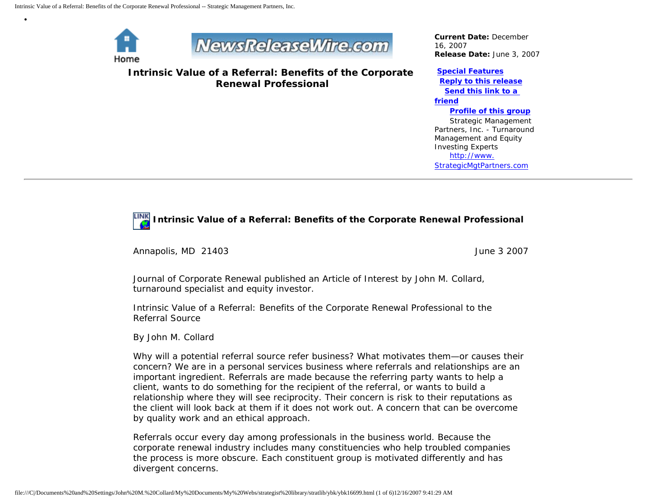

•



**Intrinsic Value of a Referral: Benefits of the Corporate Renewal Professional**

*Current Date:* December 16, 2007 *Release Date:* June 3, 2007

## **[Special Features](javascript:openlittleme()**

 **[Reply to this release](file:///C|/Documents%20and%20Settings/John%20M.%20Collard/My%20Documents/My%20Webs/strategist%20library/stratlib/ybk/default.cfm?Action=ReplyRelease&Id=16699) [Send this link to a](file:///C|/Documents%20and%20Settings/John%20M.%20Collard/My%20Documents/My%20Webs/strategist%20library/stratlib/ybk/default.cfm?Action=SendLink&SendId=16699)  [friend](file:///C|/Documents%20and%20Settings/John%20M.%20Collard/My%20Documents/My%20Webs/strategist%20library/stratlib/ybk/default.cfm?Action=SendLink&SendId=16699) [Profile of this group](file:///C|/Documents%20and%20Settings/John%20M.%20Collard/My%20Documents/My%20Webs/strategist%20library/stratlib/ybk/default.cfm?Action=Profile&ProfileId=623)** Strategic Management Partners, Inc. - Turnaround Management and Equity Investing Experts [http://www.](http://www.strategicmgtpartners.com/)

[StrategicMgtPartners.com](http://www.strategicmgtpartners.com/)

## **Intrinsic Value of a Referral: Benefits of the Corporate Renewal Professional**

Annapolis, MD 21403 June 3 2007

Journal of Corporate Renewal published an Article of Interest by John M. Collard, turnaround specialist and equity investor.

Intrinsic Value of a Referral: Benefits of the Corporate Renewal Professional to the Referral Source

By John M. Collard

Why will a potential referral source refer business? What motivates them—or causes their concern? We are in a personal services business where referrals and relationships are an important ingredient. Referrals are made because the referring party wants to help a client, wants to do something for the recipient of the referral, or wants to build a relationship where they will see reciprocity. Their concern is risk to their reputations as the client will look back at them if it does not work out. A concern that can be overcome by quality work and an ethical approach.

Referrals occur every day among professionals in the business world. Because the corporate renewal industry includes many constituencies who help troubled companies the process is more obscure. Each constituent group is motivated differently and has divergent concerns.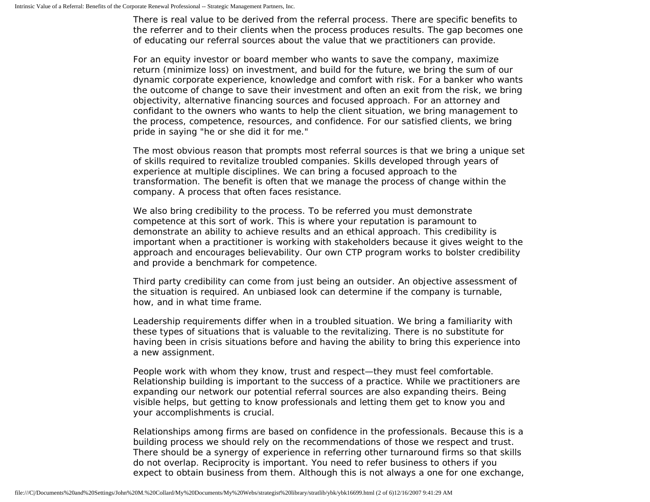There is real value to be derived from the referral process. There are specific benefits to the referrer and to their clients when the process produces results. The gap becomes one of educating our referral sources about the value that we practitioners can provide.

For an equity investor or board member who wants to save the company, maximize return (minimize loss) on investment, and build for the future, we bring the sum of our dynamic corporate experience, knowledge and comfort with risk. For a banker who wants the outcome of change to save their investment and often an exit from the risk, we bring objectivity, alternative financing sources and focused approach. For an attorney and confidant to the owners who wants to help the client situation, we bring management to the process, competence, resources, and confidence. For our satisfied clients, we bring pride in saying "he or she did it for me."

The most obvious reason that prompts most referral sources is that we bring a unique set of skills required to revitalize troubled companies. Skills developed through years of experience at multiple disciplines. We can bring a focused approach to the transformation. The benefit is often that we manage the process of change within the company. A process that often faces resistance.

We also bring credibility to the process. To be referred you must demonstrate competence at this sort of work. This is where your reputation is paramount to demonstrate an ability to achieve results and an ethical approach. This credibility is important when a practitioner is working with stakeholders because it gives weight to the approach and encourages believability. Our own CTP program works to bolster credibility and provide a benchmark for competence.

Third party credibility can come from just being an outsider. An objective assessment of the situation is required. An unbiased look can determine if the company is turnable, how, and in what time frame.

Leadership requirements differ when in a troubled situation. We bring a familiarity with these types of situations that is valuable to the revitalizing. There is no substitute for having been in crisis situations before and having the ability to bring this experience into a new assignment.

People work with whom they know, trust and respect—they must feel comfortable. Relationship building is important to the success of a practice. While we practitioners are expanding our network our potential referral sources are also expanding theirs. Being visible helps, but getting to know professionals and letting them get to know you and your accomplishments is crucial.

Relationships among firms are based on confidence in the professionals. Because this is a building process we should rely on the recommendations of those we respect and trust. There should be a synergy of experience in referring other turnaround firms so that skills do not overlap. Reciprocity is important. You need to refer business to others if you expect to obtain business from them. Although this is not always a one for one exchange,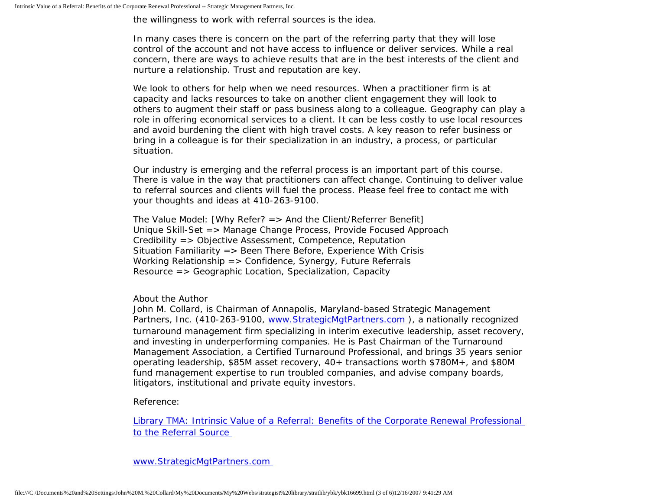the willingness to work with referral sources is the idea.

In many cases there is concern on the part of the referring party that they will lose control of the account and not have access to influence or deliver services. While a real concern, there are ways to achieve results that are in the best interests of the client and nurture a relationship. Trust and reputation are key.

We look to others for help when we need resources. When a practitioner firm is at capacity and lacks resources to take on another client engagement they will look to others to augment their staff or pass business along to a colleague. Geography can play a role in offering economical services to a client. It can be less costly to use local resources and avoid burdening the client with high travel costs. A key reason to refer business or bring in a colleague is for their specialization in an industry, a process, or particular situation.

Our industry is emerging and the referral process is an important part of this course. There is value in the way that practitioners can affect change. Continuing to deliver value to referral sources and clients will fuel the process. Please feel free to contact me with your thoughts and ideas at 410-263-9100.

The Value Model: [Why Refer? => And the Client/Referrer Benefit] Unique Skill-Set => Manage Change Process, Provide Focused Approach Credibility => Objective Assessment, Competence, Reputation Situation Familiarity  $\Rightarrow$  Been There Before, Experience With Crisis Working Relationship => Confidence, Synergy, Future Referrals Resource => Geographic Location, Specialization, Capacity

About the Author

John M. Collard, is Chairman of Annapolis, Maryland-based Strategic Management Partners, Inc. (410-263-9100, www.StrategicMgtPartners.com), a nationally recognized turnaround management firm specializing in interim executive leadership, asset recovery, and investing in underperforming companies. He is Past Chairman of the Turnaround Management Association, a Certified Turnaround Professional, and brings 35 years senior operating leadership, \$85M asset recovery, 40+ transactions worth \$780M+, and \$80M fund management expertise to run troubled companies, and advise company boards, litigators, institutional and private equity investors.

Reference:

[Library TMA: Intrinsic Value of a Referral: Benefits of the Corporate Renewal Professional](http://www.turnaround.org/news/letter.asp?objectID=2043)  [to the Referral Source](http://www.turnaround.org/news/letter.asp?objectID=2043)

[www.StrategicMgtPartners.com](http://www.strategicmgtpartners.com/)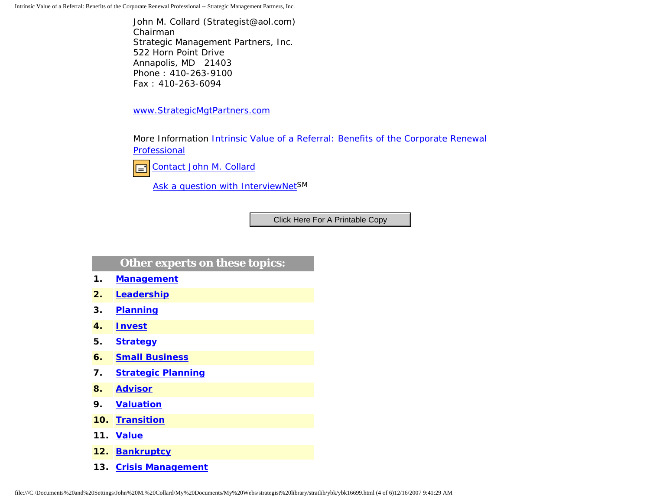Intrinsic Value of a Referral: Benefits of the Corporate Renewal Professional -- Strategic Management Partners, Inc.

John M. Collard (Strategist@aol.com) Chairman Strategic Management Partners, Inc. 522 Horn Point Drive Annapolis, MD 21403 Phone : 410-263-9100 Fax : 410-263-6094

[www.StrategicMgtPartners.com](http://www.strategicmgtpartners.com/)

More Information Intrinsic Value of a Referral: Benefits of the Corporate Renewal [Professional](http://www.turnaround.org/news/letter.asp?objectID=2043)



[Ask a question with InterviewNetS](http://www.expertclick.com/expertClick/contact/default.cfm?GroupID=1016)M

## **Other experts on these topics:**

- **1. [Management](http://www.expertclick.com/search/default.cfm?SearchCriteria=Management)**
- **2. [Leadership](http://www.expertclick.com/search/default.cfm?SearchCriteria=Leadership)**
- **3. [Planning](http://www.expertclick.com/search/default.cfm?SearchCriteria=Planning)**
- **4. [Invest](http://www.expertclick.com/search/default.cfm?SearchCriteria=Invest)**
- **5. [Strategy](http://www.expertclick.com/search/default.cfm?SearchCriteria=Strategy)**
- **6. [Small Business](http://www.expertclick.com/search/default.cfm?SearchCriteria=Small Business)**
- **7. [Strategic Planning](http://www.expertclick.com/search/default.cfm?SearchCriteria=Strategic Planning)**
- **8. [Advisor](http://www.expertclick.com/search/default.cfm?SearchCriteria=Advisor)**
- **9. [Valuation](http://www.expertclick.com/search/default.cfm?SearchCriteria=Valuation)**
- **10. [Transition](http://www.expertclick.com/search/default.cfm?SearchCriteria=Transition)**
- **11. [Value](http://www.expertclick.com/search/default.cfm?SearchCriteria=Value)**
- **12. [Bankruptcy](http://www.expertclick.com/search/default.cfm?SearchCriteria=Bankruptcy)**
- **13. [Crisis Management](http://www.expertclick.com/search/default.cfm?SearchCriteria=Crisis Management)**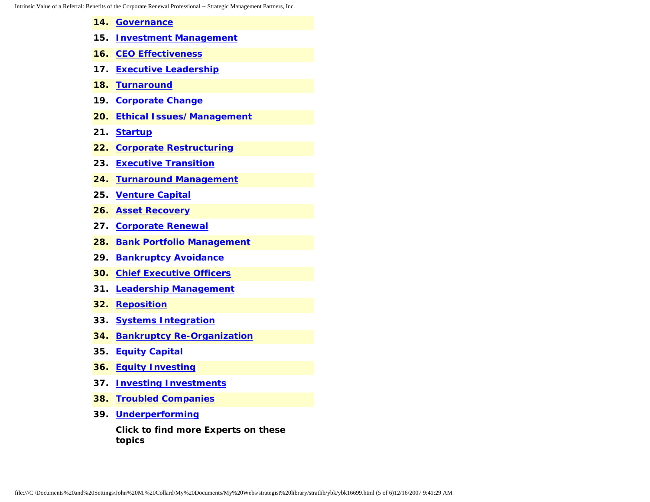- **14. [Governance](http://www.expertclick.com/search/default.cfm?SearchCriteria=Governance) 15. [Investment Management](http://www.expertclick.com/search/default.cfm?SearchCriteria=Investment Management) 16. [CEO Effectiveness](http://www.expertclick.com/search/default.cfm?SearchCriteria=CEO Effectiveness) 17. [Executive Leadership](http://www.expertclick.com/search/default.cfm?SearchCriteria=Executive Leadership) 18. [Turnaround](http://www.expertclick.com/search/default.cfm?SearchCriteria=Turnaround) 19. [Corporate Change](http://www.expertclick.com/search/default.cfm?SearchCriteria=Corporate Change) 20. [Ethical Issues/Management](http://www.expertclick.com/search/default.cfm?SearchCriteria=Ethical Issues/Management) 21. [Startup](http://www.expertclick.com/search/default.cfm?SearchCriteria=Startup) 22. [Corporate Restructuring](http://www.expertclick.com/search/default.cfm?SearchCriteria=Corporate Restructuring) 23. [Executive Transition](http://www.expertclick.com/search/default.cfm?SearchCriteria=Executive Transition) 24. [Turnaround Management](http://www.expertclick.com/search/default.cfm?SearchCriteria=Turnaround Management) 25. [Venture Capital](http://www.expertclick.com/search/default.cfm?SearchCriteria=Venture Capital) 26. [Asset Recovery](http://www.expertclick.com/search/default.cfm?SearchCriteria=Asset Recovery) 27. [Corporate Renewal](http://www.expertclick.com/search/default.cfm?SearchCriteria=Corporate Renewal) 28. [Bank Portfolio Management](http://www.expertclick.com/search/default.cfm?SearchCriteria=Bank Portfolio Management) 29. [Bankruptcy Avoidance](http://www.expertclick.com/search/default.cfm?SearchCriteria=Bankruptcy Avoidance) 30. [Chief Executive Officers](http://www.expertclick.com/search/default.cfm?SearchCriteria=Chief Executive Officers) 31. [Leadership Management](http://www.expertclick.com/search/default.cfm?SearchCriteria=Leadership Management) 32. [Reposition](http://www.expertclick.com/search/default.cfm?SearchCriteria=Reposition) 33. [Systems Integration](http://www.expertclick.com/search/default.cfm?SearchCriteria=Systems Integration) 34. [Bankruptcy Re-Organization](http://www.expertclick.com/search/default.cfm?SearchCriteria=Bankruptcy Re-Organization) 35. [Equity Capital](http://www.expertclick.com/search/default.cfm?SearchCriteria=Equity Capital)**
- **36. [Equity Investing](http://www.expertclick.com/search/default.cfm?SearchCriteria=Equity Investing)**
- **37. [Investing Investments](http://www.expertclick.com/search/default.cfm?SearchCriteria=Investing Investments)**
- **38. [Troubled Companies](http://www.expertclick.com/search/default.cfm?SearchCriteria=Troubled Companies)**
- **39. [Underperforming](http://www.expertclick.com/search/default.cfm?SearchCriteria=Underperforming)**

**Click to find more Experts on these topics**